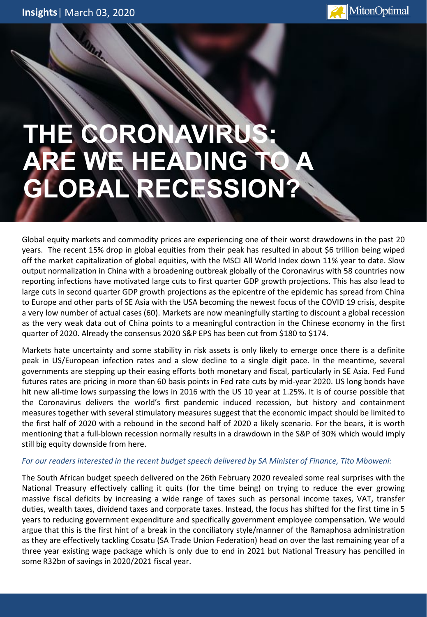

## **THE CON ARE WE HEADING TO A GBAL RECESSION**

Global equity markets and commodity prices are experiencing one of their worst drawdowns in the past 20 years. The recent 15% drop in global equities from their peak has resulted in about \$6 trillion being wiped off the market capitalization of global equities, with the MSCI All World Index down 11% year to date. Slow output normalization in China with a broadening outbreak globally of the Coronavirus with 58 countries now reporting infections have motivated large cuts to first quarter GDP growth projections. This has also lead to large cuts in second quarter GDP growth projections as the epicentre of the epidemic has spread from China to Europe and other parts of SE Asia with the USA becoming the newest focus of the COVID 19 crisis, despite a very low number of actual cases (60). Markets are now meaningfully starting to discount a global recession as the very weak data out of China points to a meaningful contraction in the Chinese economy in the first quarter of 2020. Already the consensus 2020 S&P EPS has been cut from \$180 to \$174.

Markets hate uncertainty and some stability in risk assets is only likely to emerge once there is a definite peak in US/European infection rates and a slow decline to a single digit pace. In the meantime, several governments are stepping up their easing efforts both monetary and fiscal, particularly in SE Asia. Fed Fund futures rates are pricing in more than 60 basis points in Fed rate cuts by mid-year 2020. US long bonds have hit new all-time lows surpassing the lows in 2016 with the US 10 year at 1.25%. It is of course possible that the Coronavirus delivers the world's first pandemic induced recession, but history and containment measures together with several stimulatory measures suggest that the economic impact should be limited to the first half of 2020 with a rebound in the second half of 2020 a likely scenario. For the bears, it is worth mentioning that a full-blown recession normally results in a drawdown in the S&P of 30% which would imply still big equity downside from here.

## *For our readers interested in the recent budget speech delivered by SA Minister of Finance, Tito Mboweni:*

The South African budget speech delivered on the 26th February 2020 revealed some real surprises with the National Treasury effectively calling it quits (for the time being) on trying to reduce the ever growing massive fiscal deficits by increasing a wide range of taxes such as personal income taxes, VAT, transfer duties, wealth taxes, dividend taxes and corporate taxes. Instead, the focus has shifted for the first time in 5 years to reducing government expenditure and specifically government employee compensation. We would argue that this is the first hint of a break in the conciliatory style/manner of the Ramaphosa administration as they are effectively tackling Cosatu (SA Trade Union Federation) head on over the last remaining year of a three year existing wage package which is only due to end in 2021 but National Treasury has pencilled in some R32bn of savings in 2020/2021 fiscal year.